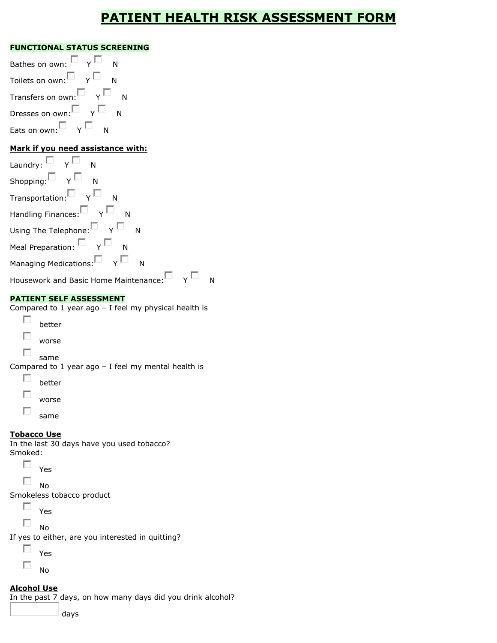# **PATIENT HEALTH RISK ASSESSMENT FORM**

#### **FUNCTIONAL STATUS SCREENING**

| Bathes on own: $\blacksquare$ $\vee$                                  |
|-----------------------------------------------------------------------|
| Toilets on own: $\nabla$ $\Gamma$                                     |
| Transfers on own: $\blacksquare$ $\blacktriangleright$ $\blacksquare$ |
| Dresses on own: $\square$ $\vee$ $\square$                            |
| Eats on own: $\nabla$ $\Gamma$<br>N                                   |
| Mark if you need assistance with:                                     |

| Laundry: $\Box$ $\gamma$ $\Box$ N                                                                 |  |
|---------------------------------------------------------------------------------------------------|--|
| Shopping: $\Box$ Y $\Box$ N                                                                       |  |
| $\overline{\mathsf{T}}$ ransportation: $\overline{\mathbb{D}}$ $\gamma$ $\overline{\mathbb{D}}$ N |  |
| Handling Finances: $\Box$ Y $\Box$ N                                                              |  |
| Using The Telephone: $\overline{\square}$ $\overline{\Upsilon}$ $\overline{\square}$ N            |  |
| Meal Preparation: $\Box$ $\gamma$ $\Box$ N                                                        |  |
| Managing Medications: $\square$ $\qquad$ Y $\square$ N                                            |  |
| Housework and Basic Home Maintenance:                                                             |  |

#### **PATIENT SELF ASSESSMENT**

Compared to 1 year ago – I feel my physical health is

- п better
- F worse
- $\mathcal{L}_{\mathrm{eff}}$ same

Compared to 1 year ago – I feel my mental health is

- $\overline{\mathcal{L}}$ better
- $\overline{\mathbb{R}}$ worse
- $\overline{\mathcal{L}}$ 
	- same

#### **Tobacco Use**

In the last 30 days have you used tobacco? Smoked:

 $\overline{\phantom{a}}$ Yes

 $\overline{\mathcal{L}}$ No

Smokeless tobacco product

 $\mathcal{L}_{\text{max}}$ Yes

 $\sim$ 

No

If yes to either, are you interested in quitting?

 $\overline{\mathcal{L}}$ Yes

F No

## **Alcohol Use**

In the past 7 days, on how many days did you drink alcohol?

days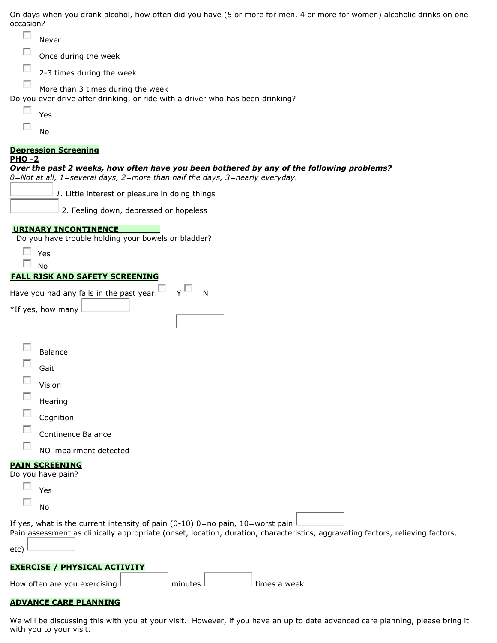On days when you drank alcohol, how often did you have (5 or more for men, 4 or more for women) alcoholic drinks on one occasion?

| П<br>Never                                                                                                                                                                               |
|------------------------------------------------------------------------------------------------------------------------------------------------------------------------------------------|
| Once during the week                                                                                                                                                                     |
| 2-3 times during the week                                                                                                                                                                |
| More than 3 times during the week                                                                                                                                                        |
| Do you ever drive after drinking, or ride with a driver who has been drinking?                                                                                                           |
| L.<br>Yes                                                                                                                                                                                |
| No                                                                                                                                                                                       |
| <b>Depression Screening</b>                                                                                                                                                              |
| <b>PHQ-2</b><br>Over the past 2 weeks, how often have you been bothered by any of the following problems?<br>0=Not at all, 1=several days, 2=more than half the days, 3=nearly everyday. |
| 1. Little interest or pleasure in doing things                                                                                                                                           |
| 2. Feeling down, depressed or hopeless                                                                                                                                                   |
| <b>URINARY INCONTINENCE</b><br>Do you have trouble holding your bowels or bladder?                                                                                                       |
| $\Box$ Yes                                                                                                                                                                               |
| $\sim$<br><b>No</b><br><b>FALL RISK AND SAFETY SCREENING</b>                                                                                                                             |
| *If yes, how many                                                                                                                                                                        |
| <b>Balance</b>                                                                                                                                                                           |
| Gait                                                                                                                                                                                     |
| Vision                                                                                                                                                                                   |
| П<br>Hearing                                                                                                                                                                             |
| Cognition                                                                                                                                                                                |
| Continence Balance                                                                                                                                                                       |
| NO impairment detected                                                                                                                                                                   |
| <b>PAIN SCREENING</b><br>Do you have pain?                                                                                                                                               |
| Yes                                                                                                                                                                                      |
| No                                                                                                                                                                                       |
| If yes, what is the current intensity of pain (0-10) 0=no pain, $10=$ worst pain                                                                                                         |
| Pain assessment as clinically appropriate (onset, location, duration, characteristics, aggravating factors, relieving factors,<br>etc)                                                   |
| <b>EXERCISE / PHYSICAL ACTIVITY</b>                                                                                                                                                      |
|                                                                                                                                                                                          |

| How often are you exercising L | minutes | times a week |
|--------------------------------|---------|--------------|
|                                |         |              |

#### **ADVANCE CARE PLANNING**

We will be discussing this with you at your visit. However, if you have an up to date advanced care planning, please bring it with you to your visit.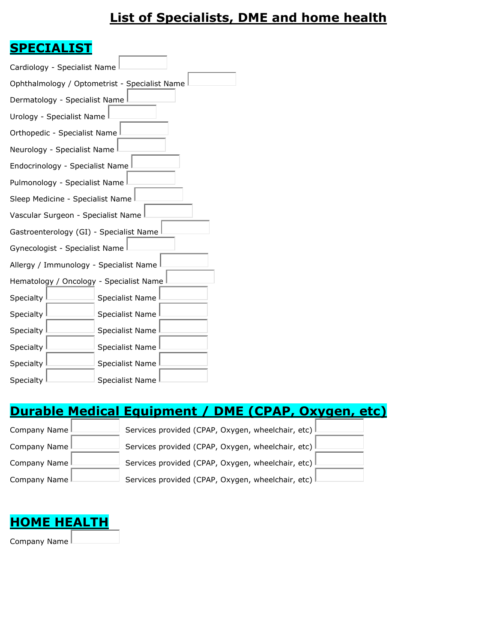# **List of Specialists, DME and home health**

# **SPECIALIST**

| Cardiology - Specialist Name                  |
|-----------------------------------------------|
| Ophthalmology / Optometrist - Specialist Name |
| Dermatology - Specialist Name                 |
| Urology - Specialist Name                     |
| Orthopedic - Specialist Name                  |
| Neurology - Specialist Name                   |
| Endocrinology - Specialist Name               |
| Pulmonology - Specialist Name                 |
| Sleep Medicine - Specialist Name              |
| Vascular Surgeon - Specialist Name            |
| Gastroenterology (GI) - Specialist Name       |
| Gynecologist - Specialist Name                |
| Allergy / Immunology - Specialist Name        |
| Hematology / Oncology - Specialist Name       |
| Specialty<br>Specialist Name                  |
| Specialty<br><b>Specialist Name</b>           |
| Specialty<br><b>Specialist Name</b>           |
| Specialty<br><b>Specialist Name</b>           |
| Specialty<br>Specialist Name                  |
| Specialty<br>Specialist Name                  |

# **Durable Medical Equipment / DME (CPAP, Oxygen, etc)**

| Company Name   | Services provided (CPAP, Oxygen, wheelchair, etc)   |
|----------------|-----------------------------------------------------|
| Company Name L | Services provided (CPAP, Oxygen, wheelchair, etc) I |
| Company Name   | Services provided (CPAP, Oxygen, wheelchair, etc)   |
| Company Name I | Services provided (CPAP, Oxygen, wheelchair, etc) I |

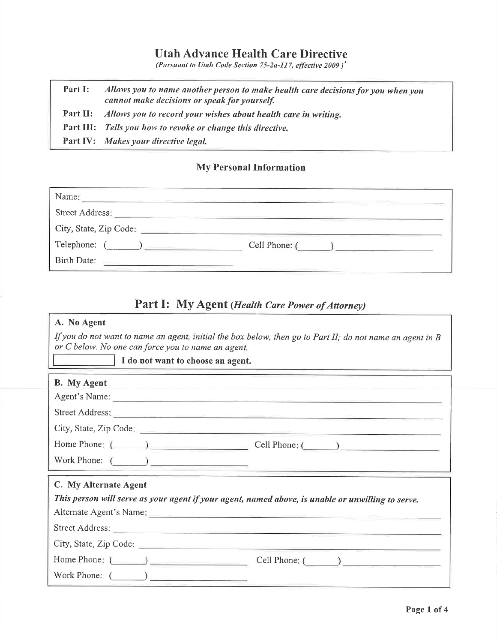# **Utah Advance Health Care Directive**

(Pursuant to Utah Code Section 75-2a-117, effective 2009)<sup>\*</sup>

Allows you to name another person to make health care decisions for you when you Part I: cannot make decisions or speak for yourself. Part II: Allows you to record your wishes about health care in writing. Part III: Tells you how to revoke or change this directive. Part IV: Makes your directive legal.

## **My Personal Information**

| Name:                  |               |
|------------------------|---------------|
| Street Address:        |               |
| City, State, Zip Code: |               |
| Telephone:             | Cell Phone: ( |
| Birth Date:            |               |

### Part I: My Agent (Health Care Power of Attorney)

| A. No Agent                                                                                                                                                                                                                    |                                                                                                                |  |  |
|--------------------------------------------------------------------------------------------------------------------------------------------------------------------------------------------------------------------------------|----------------------------------------------------------------------------------------------------------------|--|--|
| If you do not want to name an agent, initial the box below, then go to Part II; do not name an agent in $B$<br>or C below. No one can force you to name an agent.                                                              |                                                                                                                |  |  |
| I do not want to choose an agent.                                                                                                                                                                                              |                                                                                                                |  |  |
| <b>B.</b> My Agent                                                                                                                                                                                                             | Contract Dent Car (2012) (2013) 2014 12:00:00 to 2014 12:00:00 percent contract of the Contract of Contract of |  |  |
|                                                                                                                                                                                                                                |                                                                                                                |  |  |
| Street Address: New York Changes and Street Address:                                                                                                                                                                           |                                                                                                                |  |  |
|                                                                                                                                                                                                                                |                                                                                                                |  |  |
| Home Phone: (Call Phone: (Call Phone: (Call Phone: (Call Phone: (Call Phone: (Call Phone: (Call Phone: (Call Phone: Call Phone: Call Phone: (Call Phone: Call Phone: Call Phone: Call Phone: (Call Phone: Call Phone: Call Pho |                                                                                                                |  |  |
| Work Phone: $\qquad \qquad$                                                                                                                                                                                                    | the control of the control of the control of the control of the control of                                     |  |  |
| C. My Alternate Agent<br>This person will serve as your agent if your agent, named above, is unable or unwilling to serve.                                                                                                     |                                                                                                                |  |  |
|                                                                                                                                                                                                                                |                                                                                                                |  |  |
|                                                                                                                                                                                                                                |                                                                                                                |  |  |
|                                                                                                                                                                                                                                |                                                                                                                |  |  |
| Work Phone: $\qquad \qquad$                                                                                                                                                                                                    |                                                                                                                |  |  |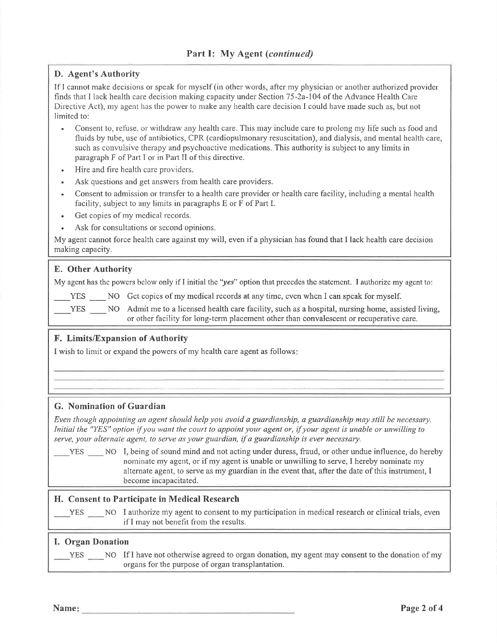#### D. Agent's Authority

If I cannot make decisions or speak for myself (in other words, after my physician or another authorized provider finds that I lack health care decision making capacity under Section 75-2a-104 of the Advance Health Care Directive Act), my agent has the power to make any health care decision I could have made such as, but not limited to:

- Consent to, refuse, or withdraw any health care. This may include care to prolong my life such as food and fluids by tube, use of antibiotics, CPR (cardiopulmonary resuscitation), and dialysis, and mental health care, such as convulsive therapy and psychoactive medications. This authority is subject to any limits in paragraph F of Part I or in Part II of this directive.
- Hire and fire health care providers.
- Ask questions and get answers from health care providers.
- Consent to admission or transfer to a health care provider or health care facility, including a mental health  $\bullet$ facility, subject to any limits in paragraphs E or F of Part I.
- Get copies of my medical records.  $\bullet$
- Ask for consultations or second opinions.  $\ddot{\phantom{a}}$

My agent cannot force health care against my will, even if a physician has found that I lack health care decision making capacity.

#### E. Other Authority

My agent has the powers below only if I initial the "yes" option that precedes the statement. I authorize my agent to:

YES NO Get copies of my medical records at any time, even when I can speak for myself.

YES NO Admit me to a licensed health care facility, such as a hospital, nursing home, assisted living, or other facility for long-term placement other than convalescent or recuperative care.

#### F. Limits/Expansion of Authority

I wish to limit or expand the powers of my health care agent as follows:

#### G. Nomination of Guardian

Even though appointing an agent should help you avoid a guardianship, a guardianship may still be necessary. Initial the "YES" option if you want the court to appoint your agent or, if your agent is unable or unwilling to serve, your alternate agent, to serve as your guardian, if a guardianship is ever necessary.

YES NO I, being of sound mind and not acting under duress, fraud, or other undue influence, do hereby nominate my agent, or if my agent is unable or unwilling to serve, I hereby nominate my alternate agent, to serve as my guardian in the event that, after the date of this instrument, I become incapacitated.

#### H. Consent to Participate in Medical Research

YES NO I authorize my agent to consent to my participation in medical research or clinical trials, even if I may not benefit from the results.

#### **I. Organ Donation**

YES NO If I have not otherwise agreed to organ donation, my agent may consent to the donation of my organs for the purpose of organ transplantation.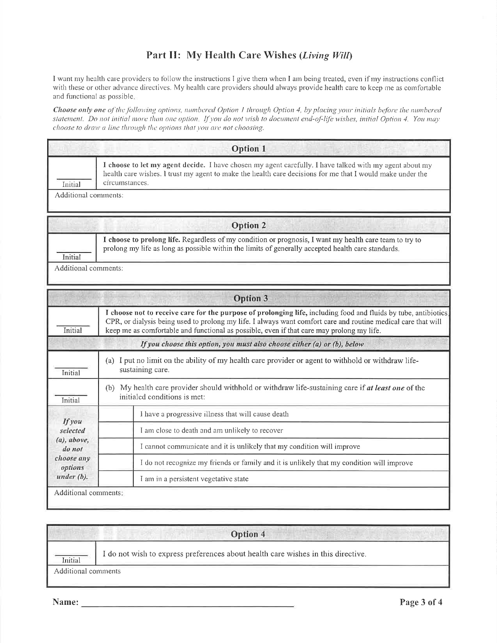## Part II: My Health Care Wishes (Living Will)

I want my health care providers to follow the instructions I give them when I am being treated, even if my instructions conflict with these or other advance directives. My health care providers should always provide health care to keep me as comfortable and functional as possible.

Choose only one of the following options, numbered Option 1 through Option 4, by placing your initials before the numbered statement. Do not initial more than one option, If you do not wish to document end-of-life wishes, initial Option 4. You may choose to draw a line through the options that you are not choosing.

|                           | <b>Option 1</b>                                                                                                                                                                                                                        |
|---------------------------|----------------------------------------------------------------------------------------------------------------------------------------------------------------------------------------------------------------------------------------|
| Initial                   | I choose to let my agent decide. I have chosen my agent carefully. I have talked with my agent about my<br>health care wishes. I trust my agent to make the health care decisions for me that I would make under the<br>circumstances. |
| Additional comments:      |                                                                                                                                                                                                                                        |
|                           | <b>Option 2</b>                                                                                                                                                                                                                        |
| Initial                   | I choose to prolong life. Regardless of my condition or prognosis, I want my health care team to try to<br>prolong my life as long as possible within the limits of generally accepted health care standards.                          |
| Additional comments:      |                                                                                                                                                                                                                                        |
|                           | <b>Option 3</b>                                                                                                                                                                                                                        |
|                           | I choose not to receive care for the purpose of prolonging life, including food and fluids by tube, antibiotics,                                                                                                                       |
| Initial                   | CPR, or dialysis being used to prolong my life. I always want comfort care and routine medical care that will<br>keep me as comfortable and functional as possible, even if that care may prolong my life.                             |
|                           | If you choose this option, you must also choose either (a) or (b), below                                                                                                                                                               |
| Initial                   | (a) I put no limit on the ability of my health care provider or agent to withhold or withdraw life-<br>sustaining care.                                                                                                                |
| Initial                   | (b) My health care provider should withhold or withdraw life-sustaining care if at least one of the<br>initialed conditions is met:                                                                                                    |
|                           | I have a progressive illness that will cause death                                                                                                                                                                                     |
| <b>If you</b><br>selected | I am close to death and am unlikely to recover                                                                                                                                                                                         |
| $(a)$ , above,<br>do not  | I cannot communicate and it is unlikely that my condition will improve                                                                                                                                                                 |
| choose any<br>options     | I do not recognize my friends or family and it is unlikely that my condition will improve                                                                                                                                              |

Initial

I do not wish to express preferences about health care wishes in this directive.

Option 4

Additional comments

Name: Name: